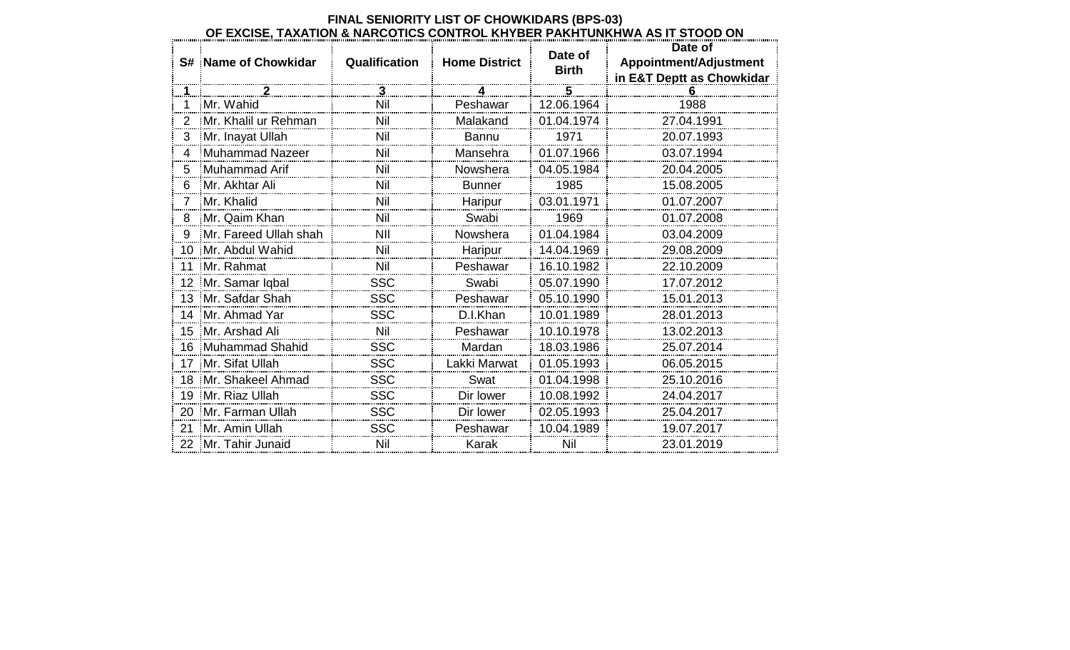|                | <b>S# Name of Chowkidar</b> | Qualification | <b>Home District</b> | Date of<br><b>Birth</b> | Date of<br>Appointment/Adjustment<br>in E&T Deptt as Chowkidar |
|----------------|-----------------------------|---------------|----------------------|-------------------------|----------------------------------------------------------------|
| <u>. 1.</u>    |                             | $\mathbf{3}$  |                      | 5                       |                                                                |
|                | Mr. Wahid                   | Nil           | Peshawar             | 12.06.1964              | 1988                                                           |
| $\overline{2}$ | Mr. Khalil ur Rehman        | Nil           | Malakand             | 01.04.1974              | 27.04.1991                                                     |
| 3              | Mr. Inayat Ullah            | Nil           | <b>Bannu</b>         | 1971                    | 20.07.1993                                                     |
| 4              | <b>Muhammad Nazeer</b>      | Nil           | Mansehra             | 01.07.1966              | 03.07.1994                                                     |
| 5              | Muhammad Arif               | Nil           | Nowshera             | 04.05.1984              | 20.04.2005                                                     |
| 6              | Mr. Akhtar Ali              | Nil           | <b>Bunner</b>        | 1985                    | 15.08.2005                                                     |
| $\overline{7}$ | Mr. Khalid                  | Nil           | Haripur              | 03.01.1971              | 01.07.2007                                                     |
| 8              | Mr. Qaim Khan               | Nil           | Swabi                | 1969                    | 01.07.2008                                                     |
| 9              | Mr. Fareed Ullah shah       | NII           | Nowshera             | 01.04.1984              | 03.04.2009                                                     |
| 10             | Mr. Abdul Wahid             | Nil           | Haripur              | 14.04.1969              | 29.08.2009                                                     |
| 11             | Mr. Rahmat                  | Nil           | Peshawar             | 16.10.1982              | 22.10.2009                                                     |
| 12             | Mr. Samar Iqbal             | SSC           | Swabi                | 05.07.1990              | 17.07.2012                                                     |
|                | 13 Mr. Safdar Shah          | <b>SSC</b>    | Peshawar             | 05.10.1990              | 15.01.2013                                                     |
|                | 14 Mr. Ahmad Yar            | SSC           | D.I.Khan             | 10.01.1989              | 28.01.2013                                                     |
|                | 15 Mr. Arshad Ali           | Nil           | Peshawar             | 10.10.1978              | 13.02.2013                                                     |
|                | 16 Muhammad Shahid          | <b>SSC</b>    | Mardan               | 18.03.1986              | 25.07.2014                                                     |
|                | 17 Mr. Sifat Ullah          | <b>SSC</b>    | Lakki Marwat         | 01.05.1993              | 06.05.2015                                                     |
|                | 18 Mr. Shakeel Ahmad        | <b>SSC</b>    | Swat                 | 01.04.1998              | 25.10.2016                                                     |
|                | 19 Mr. Riaz Ullah           | SSC           | Dir lower            | 10.08.1992              | 24.04.2017                                                     |
|                | 20 Mr. Farman Ullah         | <b>SSC</b>    | Dir lower            | 02.05.1993              | 25.04.2017                                                     |
| 21             | Mr. Amin Ullah              | SSC           | Peshawar             | 10.04.1989              | 19.07.2017                                                     |
|                | 22 Mr. Tahir Junaid         | Nil           | Karak                | Nil                     | 23.01.2019                                                     |

## **FINAL SENIORITY LIST OF CHOWKIDARS (BPS-03) OF EXCISE, TAXATION & NARCOTICS CONTROL KHYBER PAKHTUNKHWA AS IT STOOD ON**